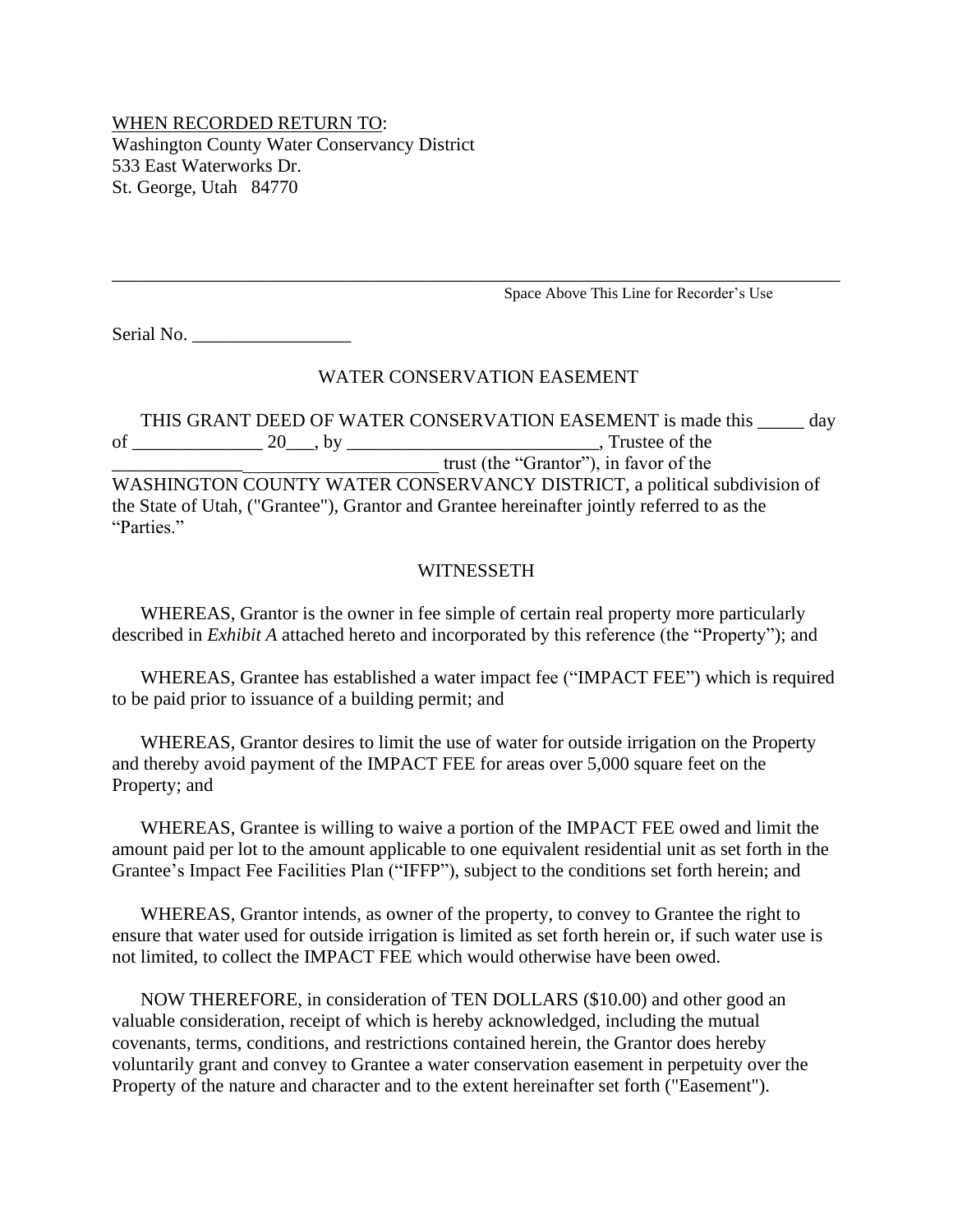## WHEN RECORDED RETURN TO: Washington County Water Conservancy District 533 East Waterworks Dr. St. George, Utah 84770

Space Above This Line for Recorder's Use

Serial No.

#### WATER CONSERVATION EASEMENT

\_\_\_\_\_\_\_\_\_\_\_\_\_\_\_\_\_\_\_\_\_\_\_\_\_\_\_\_\_\_\_\_\_\_\_\_\_\_\_\_\_\_\_\_\_\_\_\_\_\_\_\_\_\_\_\_\_\_\_\_\_\_\_\_\_\_\_\_\_\_\_\_\_\_\_\_\_\_

THIS GRANT DEED OF WATER CONSERVATION EASEMENT is made this \_\_\_\_\_ day of \_\_\_\_\_\_\_\_\_\_\_\_\_\_ 20\_\_\_, by \_\_\_\_\_\_\_\_\_\_\_\_\_\_\_\_\_\_\_\_\_\_\_\_\_\_\_, Trustee of the \_\_\_\_\_\_\_\_\_\_\_\_\_\_\_\_\_\_\_\_\_\_\_\_\_\_\_\_\_\_\_\_\_\_\_ trust (the "Grantor"), in favor of the WASHINGTON COUNTY WATER CONSERVANCY DISTRICT, a political subdivision of the State of Utah, ("Grantee"), Grantor and Grantee hereinafter jointly referred to as the "Parties."

#### **WITNESSETH**

WHEREAS, Grantor is the owner in fee simple of certain real property more particularly described in *Exhibit A* attached hereto and incorporated by this reference (the "Property"); and

WHEREAS, Grantee has established a water impact fee ("IMPACT FEE") which is required to be paid prior to issuance of a building permit; and

WHEREAS, Grantor desires to limit the use of water for outside irrigation on the Property and thereby avoid payment of the IMPACT FEE for areas over 5,000 square feet on the Property; and

WHEREAS, Grantee is willing to waive a portion of the IMPACT FEE owed and limit the amount paid per lot to the amount applicable to one equivalent residential unit as set forth in the Grantee's Impact Fee Facilities Plan ("IFFP"), subject to the conditions set forth herein; and

WHEREAS, Grantor intends, as owner of the property, to convey to Grantee the right to ensure that water used for outside irrigation is limited as set forth herein or, if such water use is not limited, to collect the IMPACT FEE which would otherwise have been owed.

NOW THEREFORE, in consideration of TEN DOLLARS (\$10.00) and other good an valuable consideration, receipt of which is hereby acknowledged, including the mutual covenants, terms, conditions, and restrictions contained herein, the Grantor does hereby voluntarily grant and convey to Grantee a water conservation easement in perpetuity over the Property of the nature and character and to the extent hereinafter set forth ("Easement").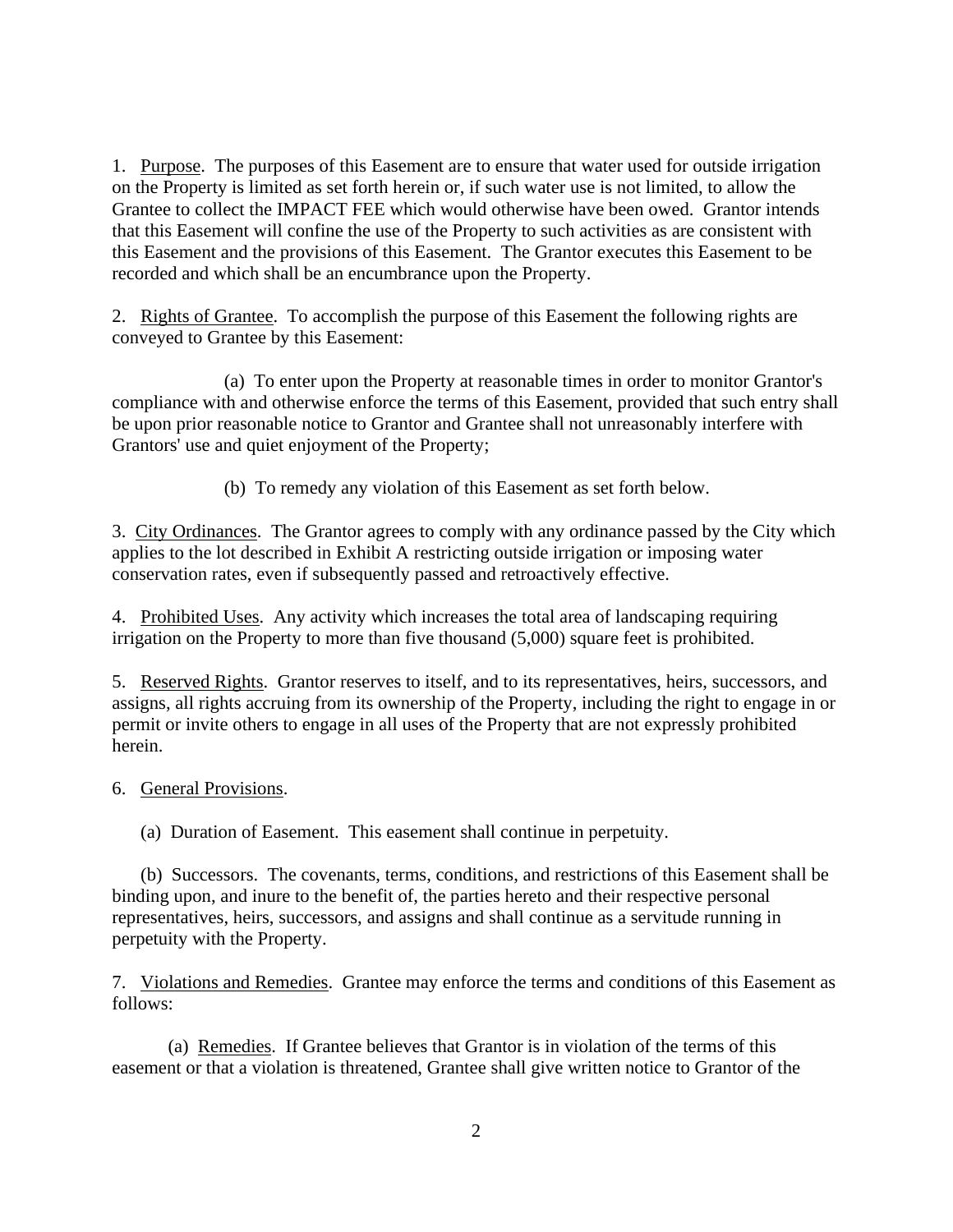1. Purpose. The purposes of this Easement are to ensure that water used for outside irrigation on the Property is limited as set forth herein or, if such water use is not limited, to allow the Grantee to collect the IMPACT FEE which would otherwise have been owed. Grantor intends that this Easement will confine the use of the Property to such activities as are consistent with this Easement and the provisions of this Easement. The Grantor executes this Easement to be recorded and which shall be an encumbrance upon the Property.

2. Rights of Grantee. To accomplish the purpose of this Easement the following rights are conveyed to Grantee by this Easement:

(a) To enter upon the Property at reasonable times in order to monitor Grantor's compliance with and otherwise enforce the terms of this Easement, provided that such entry shall be upon prior reasonable notice to Grantor and Grantee shall not unreasonably interfere with Grantors' use and quiet enjoyment of the Property;

(b) To remedy any violation of this Easement as set forth below.

3. City Ordinances. The Grantor agrees to comply with any ordinance passed by the City which applies to the lot described in Exhibit A restricting outside irrigation or imposing water conservation rates, even if subsequently passed and retroactively effective.

4. Prohibited Uses. Any activity which increases the total area of landscaping requiring irrigation on the Property to more than five thousand (5,000) square feet is prohibited.

5. Reserved Rights. Grantor reserves to itself, and to its representatives, heirs, successors, and assigns, all rights accruing from its ownership of the Property, including the right to engage in or permit or invite others to engage in all uses of the Property that are not expressly prohibited herein.

### 6. General Provisions.

(a) Duration of Easement. This easement shall continue in perpetuity.

(b) Successors. The covenants, terms, conditions, and restrictions of this Easement shall be binding upon, and inure to the benefit of, the parties hereto and their respective personal representatives, heirs, successors, and assigns and shall continue as a servitude running in perpetuity with the Property.

7. Violations and Remedies. Grantee may enforce the terms and conditions of this Easement as follows:

(a) Remedies. If Grantee believes that Grantor is in violation of the terms of this easement or that a violation is threatened, Grantee shall give written notice to Grantor of the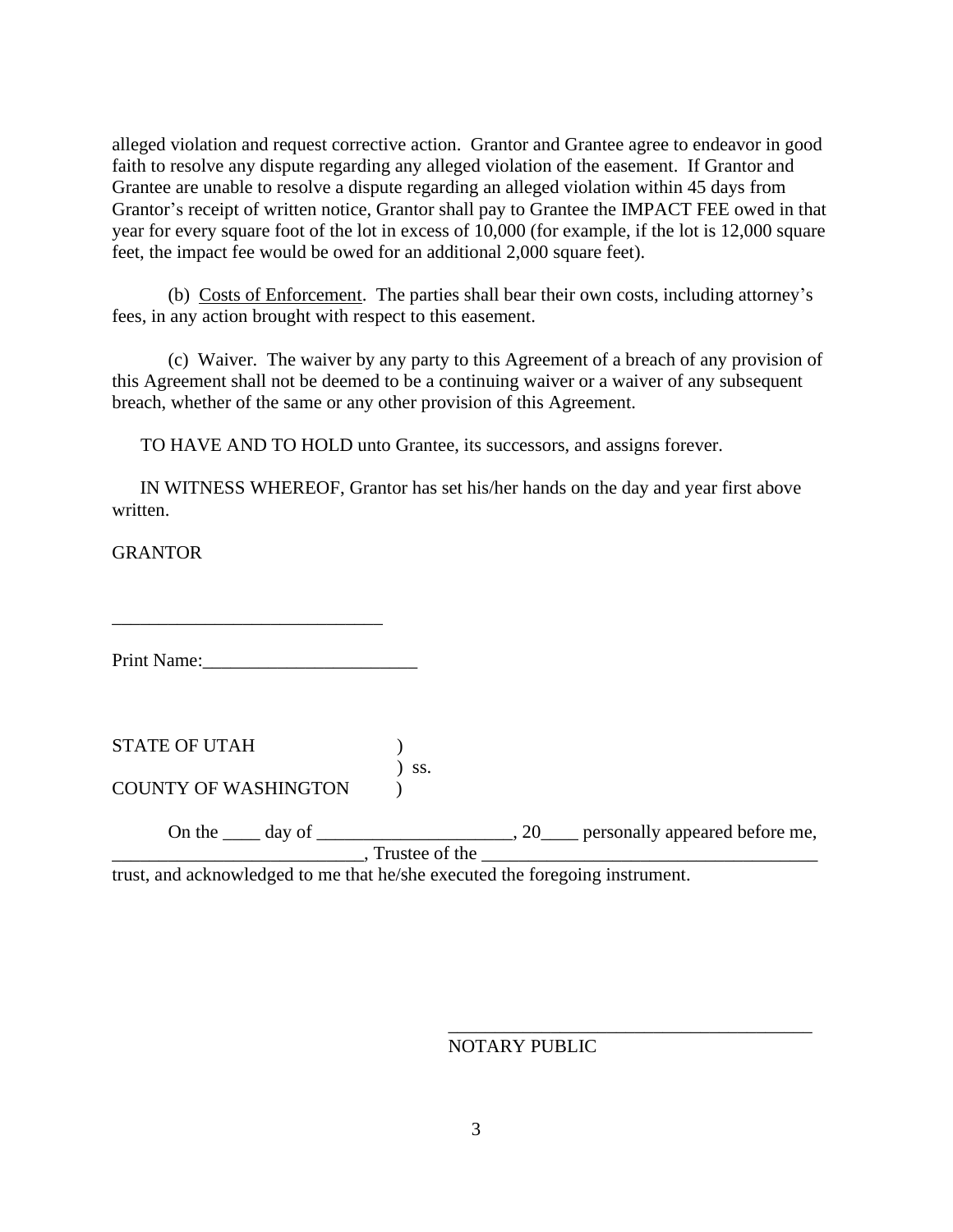alleged violation and request corrective action. Grantor and Grantee agree to endeavor in good faith to resolve any dispute regarding any alleged violation of the easement. If Grantor and Grantee are unable to resolve a dispute regarding an alleged violation within 45 days from Grantor's receipt of written notice, Grantor shall pay to Grantee the IMPACT FEE owed in that year for every square foot of the lot in excess of 10,000 (for example, if the lot is 12,000 square feet, the impact fee would be owed for an additional 2,000 square feet).

(b) Costs of Enforcement. The parties shall bear their own costs, including attorney's fees, in any action brought with respect to this easement.

(c) Waiver. The waiver by any party to this Agreement of a breach of any provision of this Agreement shall not be deemed to be a continuing waiver or a waiver of any subsequent breach, whether of the same or any other provision of this Agreement.

TO HAVE AND TO HOLD unto Grantee, its successors, and assigns forever.

IN WITNESS WHEREOF, Grantor has set his/her hands on the day and year first above written.

**GRANTOR** 

Print Name:\_\_\_\_\_\_\_\_\_\_\_\_\_\_\_\_\_\_\_\_\_\_\_

\_\_\_\_\_\_\_\_\_\_\_\_\_\_\_\_\_\_\_\_\_\_\_\_\_\_\_\_\_

STATE OF UTAH )  $\int$  ss.

COUNTY OF WASHINGTON )

On the <u>equipermental</u> day of <u>equiperministic and  $(20)$  personally appeared before me,</u> \_\_\_\_\_\_\_\_\_\_\_\_\_\_\_\_\_\_\_\_\_\_\_\_\_\_\_, Trustee of the \_\_\_\_\_\_\_\_\_\_\_\_\_\_\_\_\_\_\_\_\_\_\_\_\_\_\_\_\_\_\_\_\_\_\_\_

trust, and acknowledged to me that he/she executed the foregoing instrument.

### NOTARY PUBLIC

\_\_\_\_\_\_\_\_\_\_\_\_\_\_\_\_\_\_\_\_\_\_\_\_\_\_\_\_\_\_\_\_\_\_\_\_\_\_\_